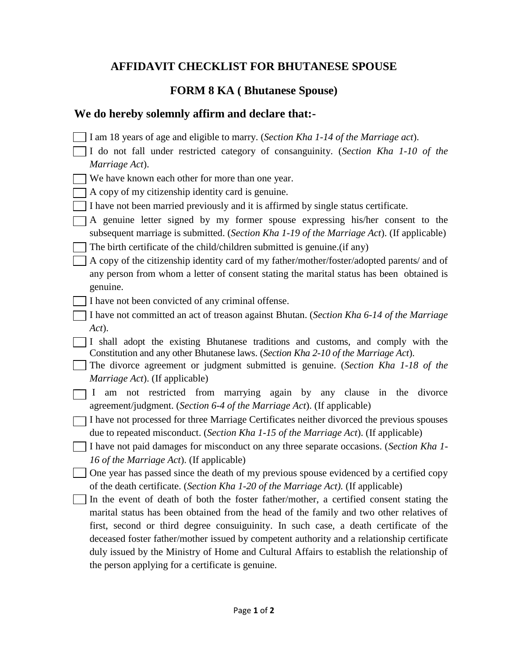## **AFFIDAVIT CHECKLIST FOR BHUTANESE SPOUSE**

## **FORM 8 KA ( Bhutanese Spouse)**

## **We do hereby solemnly affirm and declare that:-**

- I am 18 years of age and eligible to marry. (*Section Kha 1-14 of the Marriage act*).
- I do not fall under restricted category of consanguinity. (*Section Kha 1-10 of the Marriage Act*).
- We have known each other for more than one year.
- A copy of my citizenship identity card is genuine.
- I have not been married previously and it is affirmed by single status certificate.
- $\Box$  A genuine letter signed by my former spouse expressing his/her consent to the subsequent marriage is submitted. (*Section Kha 1-19 of the Marriage Act*). (If applicable)
- $\Box$  The birth certificate of the child/children submitted is genuine. (if any)
- A copy of the citizenship identity card of my father/mother/foster/adopted parents/ and of any person from whom a letter of consent stating the marital status has been obtained is genuine.
- I have not been convicted of any criminal offense.
- I have not committed an act of treason against Bhutan. (*Section Kha 6-14 of the Marriage Act*).
- I shall adopt the existing Bhutanese traditions and customs, and comply with the Constitution and any other Bhutanese laws. (*Section Kha 2-10 of the Marriage Act*).
- The divorce agreement or judgment submitted is genuine. (*Section Kha 1-18 of the Marriage Act*). (If applicable)
- I am not restricted from marrying again by any clause in the divorce agreement/judgment. (*Section 6-4 of the Marriage Act*). (If applicable)
- I have not processed for three Marriage Certificates neither divorced the previous spouses due to repeated misconduct. (*Section Kha 1-15 of the Marriage Act*). (If applicable)
- I have not paid damages for misconduct on any three separate occasions. (*Section Kha 1- 16 of the Marriage Act*). (If applicable)
- One year has passed since the death of my previous spouse evidenced by a certified copy of the death certificate. (*Section Kha 1-20 of the Marriage Act).* (If applicable)
- In the event of death of both the foster father/mother, a certified consent stating the marital status has been obtained from the head of the family and two other relatives of first, second or third degree consuiguinity. In such case, a death certificate of the deceased foster father/mother issued by competent authority and a relationship certificate duly issued by the Ministry of Home and Cultural Affairs to establish the relationship of the person applying for a certificate is genuine.